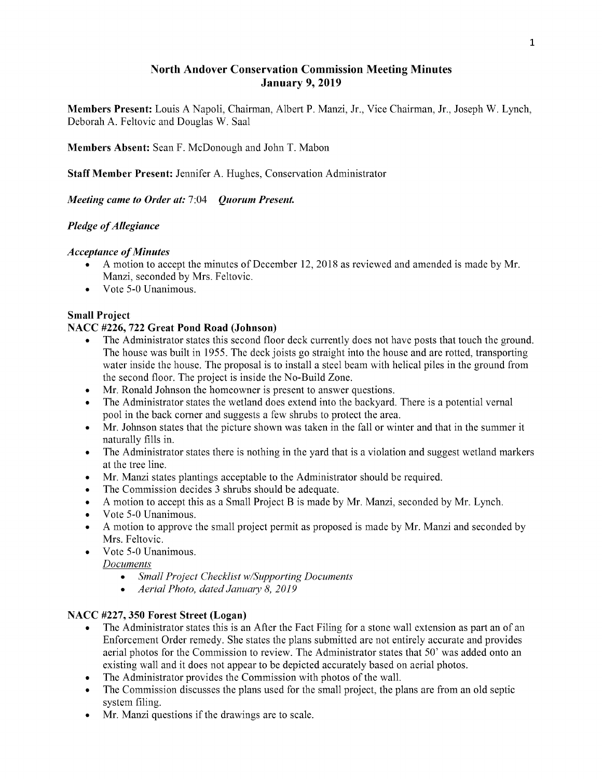## NorthAndover Conservation Commission Meeting Minutes January 9, 2019

Members Present: Louis A Napoli, Chairman, Albert P. Manzi, Jr., Vice Chairman, Jr., Joseph W. Lynch, Deborah A. Feltovic and Douglas W. Saal

Members Absent: Sean F. McDonough and John T. Mabon

Staff Member Present: Jennifer A. Hughes, Conservation Administrator

Meeting came to Order at: 7:04 Quorum Present.

## Pledge of Allegiance

#### **Acceptance of Minutes**

- A motion to accept the minutes of December 12, 2018 as reviewed and amended is made by Mr. Manzi, seconded by Mrs. Feltovic.
- Vote 5-0 Unanimous.

#### **Small Project**

#### NACC #226, 722 Great Pond Road (Johnson)

- The Administrator states this second floor deck currently does not have posts that touch the ground. The house was built in 1955. The deck joists go straight into the house and are rotted, transporting water inside the house. The proposal is to install a steel beam with helical piles in the ground from the second floor. The project is inside the No-Build Zone.
- Mr. Ronald Johnson the homeowner is present to answer questions.
- The Administrator states the wetland does extend into the backyard. There is a potential vernal pool in the back corner and suggests a few shrubs to protect the area.
- Mr. Johnson states that the picture shown was taken in the fall or winter and that in the summer it naturally fills in.
- The Administrator states there is nothing in the yard that is a violation and suggest wetland markers at the tree line.
- Mr. Manzi states plantings acceptable to the Administrator should be required.
- The Commission decides 3 shrubs should be adequate.
- A motion to accept this as a Small Project B is made by Mr. Manzi, seconded by Mr. Lynch.
- Vote 5-0 Unanimous.
- A motion to approve the small project permit as proposed is made by Mr. Manzi and seconded by Mrs. Feltovic.
- Vote 5-0 Unanimous.

**Documents** 

- Small Project Checklist w/Supporting Documents
- Aerial Photo, dated January 8, 2019

## NACC #227, 350 Forest Street (Logan)

- The Administrator states this is an After the Fact Filing for a stone wall extension as part an of an Enforcement Order remedy. She states the plans submitted are not entirely accurate and provides aerial photos for the Commission to review. The Administrator states that 50' was added onto an existing wall and it does not appear to be depicted accurately based on aerial photos.
- The Administrator provides the Commission with photos of the wall.
- The Commission discusses the plans used for the small project, the plans are from an old septic system filing.
- Mr. Manzi questions if the drawings are to scale.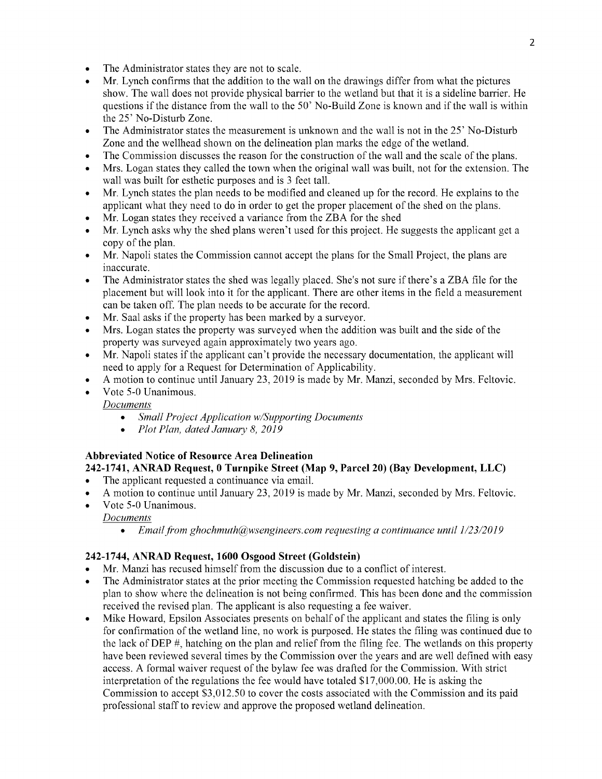- The Administrator states they are not to scale.
- Mr. Lynch confirms that the addition to the wall on the drawings differ from what the pictures show. The wall does not provide physical barrier to the wetland but that it is a sideline barrier. He questions if the distance from the wall to the 50' No-Build Zone is known and if the wall is within the25' No-Disturb Zone.
- The Administrator states the measurement is unknown and the wall is not in the 25' No-Disturb  $\bullet$ Zone and the wellhead shown on the delineation plan marks the edge of the wetland.
- The Commission discusses the reason for the construction of the wall and the scale of the plans.
- Mrs. Logan states they called the town when the original wall was built, not for the extension. The wall was built for esthetic purposes and is 3 feet tall.
- Mr. Lynch states the plan needs to be modified and cleaned up for the record. He explains to the applicant what they need to do in order to get the proper placement of the shed on the plans.
- Mr. Logan states they received a variance from the ZBA for the shed
- Mr. Lynch asks why the shed plans weren't used for this project. He suggests the applicant get a copy of the plan.
- Mr. Napoli states the Commission cannot accept the plans for the Small Project, the plans are  $\bullet$ inaccurate.
- The Administrator states the shed was legally placed. She's not sure if there's a ZBA file for the placement but will look into it for the applicant. There are other items in the field a measurement can be taken off. The plan needs to be accurate for the record.
- Mr. Saal asks if the property has been marked by a surveyor.
- Mrs. Logan states the property was surveyed when the addition was built and the side of the property was surveyed again approximately two years ago.
- Mr. Napoli states if the applicant can't provide the necessary documentation, the applicant will  $\bullet$ need to apply for a Request for Determination of Applicability.
- A motion to continue until January 23, 2019 is made by Mr. Manzi, seconded by Mrs. Feltovic.
- Vote 5-0 Unanimous.

**Documents** 

- $\bullet$ Small Project Application w/Supporting Documents
- Plot Plan, dated January 8, 2019

#### Abbreviated Notice of Resource Area Delineation 242-1741, ANRAD Request, 0Turnpike Street (Map9, Parcel 20) (BayDevelopment, LLC)

- The applicant requested a continuance via email.
- A motion to continue until January 23, 2019 is made by Mr. Manzi, seconded by Mrs. Feltovic.
- Vote 5-0 Unanimous.

**Documents** 

• Email from ghochmuth@wsengineers.com requesting a continuance until  $1/23/2019$ 

#### 242-1744, ANRAD Request, 1600 Osgood Street (Goldstein)

- Mr. Manzi has recused himself from the discussion due to a conflict of interest.
- The Administrator states at the prior meeting the Commission requested hatching be added to the plan to show where the delineation is not being confirmed. This has been done and the commission received the revised plan. The applicant is also requesting a fee waiver.
- Mike Howard, Epsilon Associates presents on behalf of the applicant and states the filing is only for confirmation of the wetland line, no work is purposed. He states the filing was continued due to the lack of DEP  $#$ , hatching on the plan and relief from the filing fee. The wetlands on this property have been reviewed several times by the Commission over the years and are well defined with easy access. A formal waiver request of the bylaw fee was drafted for the Commission. With strict interpretation of the regulations the fee would have totaled  $$17,000.00$ . He is asking the Commission to accept \$3,012.50 to cover the costs associated with the Commission and its paid professional staff to review and approve the proposed wetland delineation.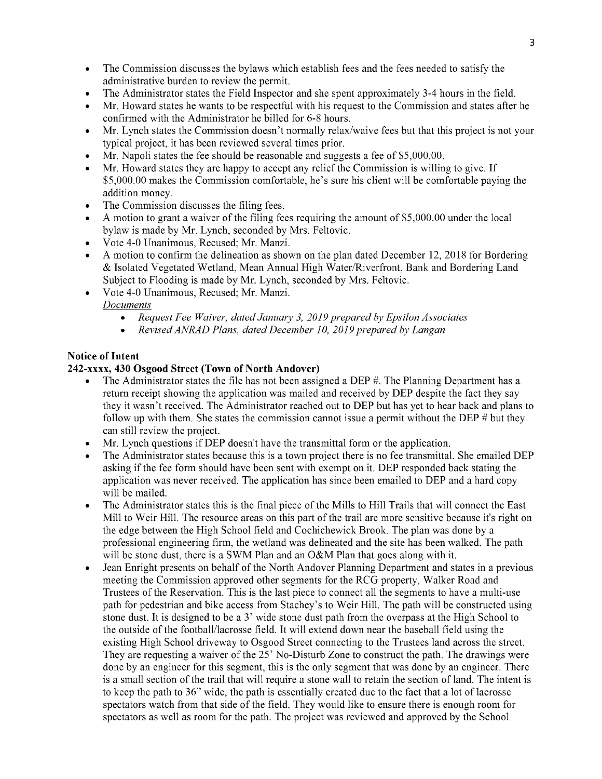- The Commission discusses the bylaws which establish fees and the fees needed to satisfy the  $\bullet$ administrative burden to review the permit.
- The Administrator states the Field Inspector and she spent approximately 3-4 hours in the field.
- Mr. Howard states he wants to be respectful with his request to the Commission and states after he confirmed with the Administrator he billed for 6-8 hours.
- Mr. Lynch states the Commission doesn't normally relax/waive fees but that this project is not your typical project, it has been reviewed several times prior.
- Mr. Napoli states the fee should be reasonable and suggests a fee of \$5,000.00.
- Mr. Howard states they are happy to accept any relief the Commission is willing to give. If \$5,000.00 makes the Commission comfortable, he's sure his client will be comfortable paying the addition money.
- The Commission discusses the filing fees.
- A motion to grant a waiver of the filing fees requiring the amount of \$5,000.00 under the local bylaw is made by Mr. Lynch, seconded by Mrs. Feltovic.
- Vote 4-0 Unanimous, Recused; Mr. Manzi.
- A motion to confirm the delineation as shown on the plan dated December 12, 2018 for Bordering Isolated Vegetated Wetland, MeanAnnual HighWater/Riverfront, BankandBordering Land Subject to Flooding is made by Mr. Lynch, seconded by Mrs. Feltovic.
	- Vote 4-0 Unanimous, Recused; Mr. Manzi. **Documents** 
		- Request Fee Waiver, dated January 3, 2019 prepared by Epsilon Associates  $\bullet$
		- Revised ANRAD Plans, dated December 10, 2019 prepared by Langan  $\bullet$

#### **Notice of Intent**

#### 242-xxxx, 430 Osgood Street (Town of North Andover)

- The Administrator states the file has not been assigned a DEP  $#$ . The Planning Department has a return receipt showing the application was mailed and received by DEP despite the fact they say they it wasn't received. The Administrator reached out to DEP but has yet to hear back and plans to follow up with them. She states the commission cannot issue a permit without the DEP  $#$  but they can still review the project.
- Mr. Lynch questions if DEP doesn't have the transmittal form or the application.  $\bullet$
- The Administrator states because this is a town project there is no fee transmittal. She emailed DEP asking if the fee form should have been sent with exempt on it. DEP responded back stating the application was never received. The application has since been emailed to DEP and a hard copy will be mailed.
- The Administrator states this is the final piece of the Mills to Hill Trails that will connect the East Mill to Weir Hill. The resource areas on this part of the trail are more sensitive because it's right on the edge between the High School field and Cochichewick Brook. The plan was done by a professional engineering firm, the wetland was delineated and the site has been walked. The path will be stone dust, there is a SWM Plan and an  $O&M$  Plan that goes along with it.
- Jean Enright presents on behalf of the North Andover Planning Department and states in a previous meeting the Commission approved other segments for the RCG property, Walker Road and Trustees of the Reservation. This is the last piece to connect all the segments to have a multi-use path for pedestrian and bike access from Stachey's to Weir Hill. The path will be constructed using stone dust. It is designed to be a 3' wide stone dust path from the overpass at the High School to the outside of the football/lacrosse field. It will extend down near the baseball field using the existing High School driveway to Osgood Street connecting to the Trustees land across the street. They are requesting a waiver of the 25' No-Disturb Zone to construct the path. The drawings were done by an engineer for this segment, this is the only segment that was done by an engineer. There is a small section of the trail that will require a stone wall to retain the section of land. The intent is to keep the path to 36" wide, the path is essentially created due to the fact that a lot of lacrosse spectators watch from that side of the field. They would like to ensure there is enough room for spectators as well as room for the path. The project was reviewed and approved by the School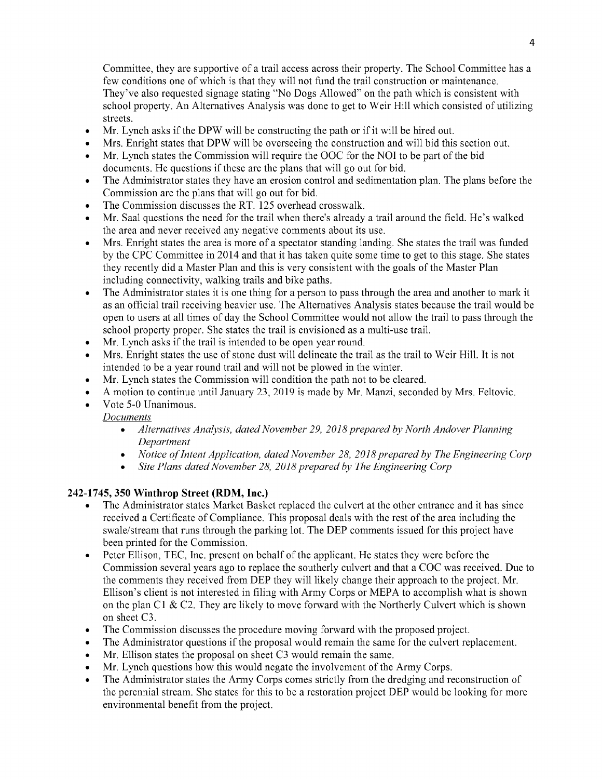Committee, they are supportive of a trail access across their property. The School Committee has a few conditions one of which is that they will not fund the trail construction or maintenance. They've also requested signage stating "No Dogs Allowed" on the path which is consistent with school property. An Alternatives Analysis was done to get to Weir Hill which consisted of utilizing streets.

- Mr. Lynch asks if the DPW will be constructing the path or if it will be hired out.  $\bullet$
- Mrs. Enright states that DPW will be overseeing the construction and will bid this section out.
- Mr. Lynch states the Commission will require the OOC for the NOI to be part of the bid documents. He questions if these are the plans that will go out for bid.
- The Administrator states they have an erosion control and sedimentation plan. The plans before the Commission are the plans that will go out for bid.
- The Commission discusses the RT. 125 overhead crosswalk.
- Mr. Saal questions the need for the trail when there's already a trail around the field. He's walked the area and never received any negative comments about its use.
- Mrs. Enright states the area is more of a spectator standing landing. She states the trail was funded by the CPC Committee in 2014 and that it has taken quite some time to get to this stage. She states they recently did a Master Plan and this is very consistent with the goals of the Master Plan including connectivity, walking trails and bike paths.
- The Administrator states it is one thing for a person to pass through the area and another to mark it  $\bullet$ as an official trail receiving heavier use. The Alternatives Analysis states because the trail would be open to users at all times of day the School Committee would not allow the trail to pass through the school property proper. She states the trail is envisioned as a multi-use trail.
- Mr. Lynch asks if the trail is intended to be open year round.
- Mrs. Enright states the use of stone dust will delineate the trail as the trail to Weir Hill. It is not intended to be a year round trail and will not be plowed in the winter.
- Mr. Lynch states the Commission will condition the path not to be cleared.
- A motion to continue until January 23, 2019 is made by Mr. Manzi, seconded by Mrs. Feltovic.
- Vote 5-0 Unanimous.
	- **Documents** 
		- Alternatives Analysis, dated November 29, 2018 prepared by North Andover Planning Department
		- Notice of Intent Application, dated November 28, 2018 prepared by The Engineering Corp
		- Site Plans dated November 28, 2018 prepared by The Engineering Corp

## 242-1745, 350Winthrop Street (RDM, Inc.)

- The Administrator states Market Basket replaced the culvert at the other entrance and it has since received a Certificate of Compliance. This proposal deals with the rest of the area including the swale/stream that runs through the parking lot. The DEP comments issued for this project have been printed for the Commission.
- Peter Ellison, TEC, Inc. present on behalf of the applicant. He states they were before the  $\bullet$ Commission several years ago to replace the southerly culvert and that a COC was received. Due to the comments they received from DEP they will likely change their approach to the project. Mr. Ellison's client is not interested in filing with Army Corps or MEPA to accomplish what is shown on the plan C1  $\&$  C2. They are likely to move forward with the Northerly Culvert which is shown on sheet C3.
- The Commission discusses the procedure moving forward with the proposed project.  $\bullet$
- The Administrator questions if the proposal would remain the same for the culvert replacement.
- Mr. Ellison states the proposal on sheet C3 would remain the same.
- Mr. Lynch questions how this would negate the involvement of the Army Corps.
- The Administrator states the Army Corps comes strictly from the dredging and reconstruction of the perennial stream. She states for this to be a restoration project DEP would be looking for more environmental benefit from the project.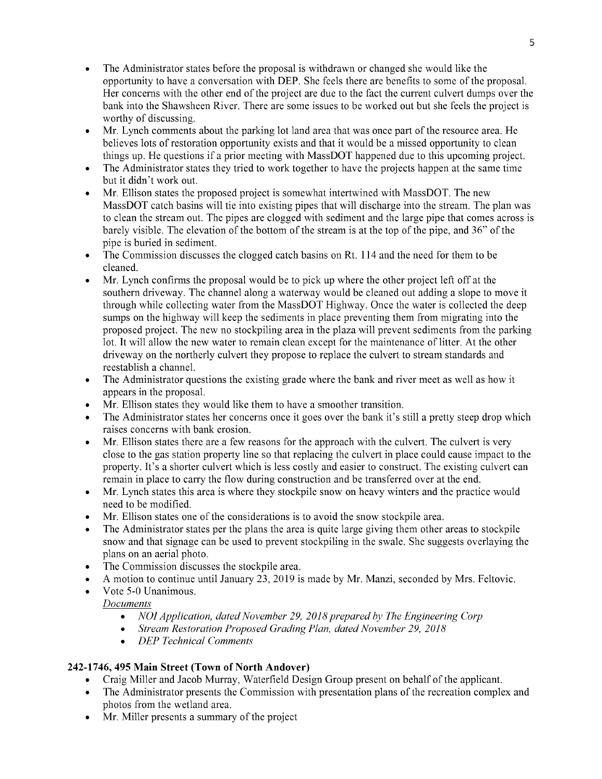- The Administrator states before the proposal is withdrawn or changed she would like the  $\bullet$ opportunity to have a conversation with DEP. She feels there are benefits to some of the proposal. Her concerns with the other end of the project are due to the fact the current culvert dumps over the bank into the Shawsheen River. There are some issues to be worked out but she feels the project is worthy of discussing.
- Mr. Lynch comments about the parking lot land area that was once part of the resource area. He  $\bullet$ believes lots of restoration opportunity exists and that it would be a missed opportunity to clean things up. He questions if a prior meeting with MassDOT happened due to this upcoming project.
- The Administrator states they tried to work together to have the projects happen at the same time  $\bullet$ but it didn't work out.
- Mr. Ellison states the proposed project is somewhat intertwined with MassDOT. The new MassDOT catch basins will tie into existing pipes that will discharge into the stream. The plan was to clean the stream out. The pipes are clogged with sediment and the large pipe that comes across is barely visible. The elevation of the bottom of the stream is at the top of the pipe, and 36" of the pipe is buried in sediment.
- The Commission discusses the clogged catch basins on Rt. 114 and the need for them to be  $\bullet$ cleaned.
- Mr. Lynch confirms the proposal would be to pick up where the other project left off at the southern driveway. The channel along a waterway would be cleaned out adding a slope to move it through while collecting water from the MassDOT Highway. Once the water is collected the deep sumps on the highway will keep the sediments in place preventing them from migrating into the proposed project. The new no stockpiling area in the plaza will prevent sediments from the parking lot. It will allow the new water to remain clean except for the maintenance of litter. At the other driveway on the northerly culvert they propose to replace the culvert to stream standards and reestablish a channel.
- The Administrator questions the existing grade where the bank and river meet as well as how it  $\bullet$ appears in the proposal.
- Mr. Ellison states they would like them to have a smoother transition.
- The Administrator states her concerns once it goes over the bank it's still a pretty steep drop which raises concerns with bank erosion.
- Mr. Ellison states there are a few reasons for the approach with the culvert. The culvert is very close to the gas station property line so that replacing the culvert in place could cause impact to the property. It's a shorter culvert which is less costly and easier to construct. The existing culvert can remain in place to carry the flow during construction and be transferred over at the end.
- Mr. Lynch states this area is where they stockpile snow on heavy winters and the practice would need to be modified.
- Mr. Ellison states one of the considerations is to avoid the snow stockpile area.
- The Administrator states per the plans the area is quite large giving them other areas to stockpile snow and that signage can be used to prevent stockpiling in the swale. She suggests overlaying the plans on an aerial photo.
- The Commission discusses the stockpile area.
- A motion to continue until January 23, 2019 is made by Mr. Manzi, seconded by Mrs. Feltovic.
- Vote 5-0 Unanimous. **Documents** 
	- NOI Application, dated November 29, 2018 prepared by The Engineering Corp
	- Stream Restoration Proposed Grading Plan, dated November 29, 2018
	- DEP Technical Comments  $\bullet$

# 242-1746, 495 Main Street (Town of North Andover)

- Craig Miller and Jacob Murray, Waterfield Design Group present on behalf of the applicant.
- The Administrator presents the Commission with presentation plans of the recreation complex and photos from the wetland area.
- Mr. Miller presents a summary of the project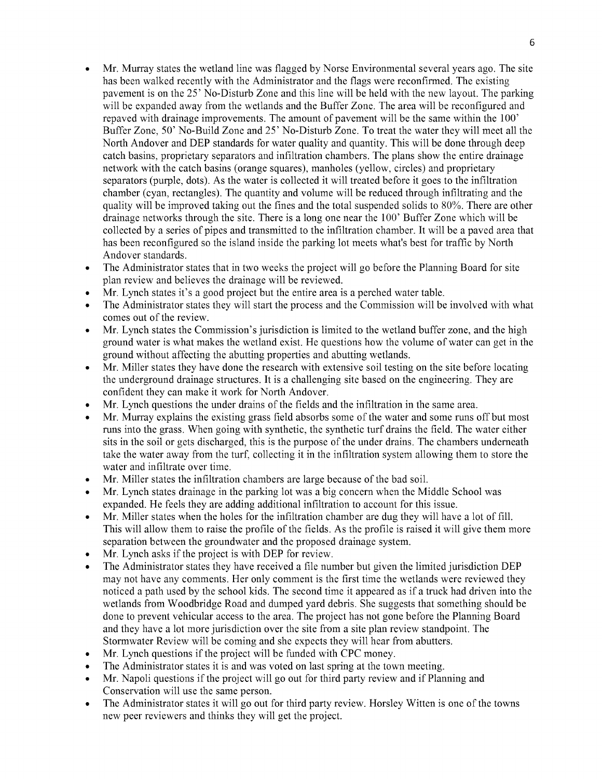- Mr. Murray states the wetland line was flagged by Norse Environmental several years ago. The site has been walked recently with the Administrator and the flags were reconfirmed. The existing pavement is on the 25' No-Disturb Zone and this line will be held with the new layout. The parking will be expanded away from the wetlands and the Buffer Zone. The area will be reconfigured and repaved with drainage improvements. The amount of pavement will be the same within the  $100'$ Buffer Zone, 50' No-Build Zone and 25' No-Disturb Zone. To treat the water they will meet all the North Andover and DEP standards for water quality and quantity. This will be done through deep catch basins, proprietary separators and infiltration chambers. The plans show the entire drainage network with the catch basins (orange squares), manholes (yellow, circles) and proprietary separators (purple, dots). As the water is collected it will treated before it goes to the infiltration chamber (cyan, rectangles). The quantity and volume will be reduced through infiltrating and the quality will be improved taking out the fines and the total suspended solids to 80%. There are other drainage networks through the site. There is a long one near the 100' Buffer Zone which will be collected by a series of pipes and transmitted to the infiltration chamber. It will be a paved area that has been reconfigured so the island inside the parking lot meets what's best for traffic by North Andover standards.
- The Administrator states that in two weeks the project will go before the Planning Board for site plan review and believes the drainage will be reviewed.
- Mr. Lynch states it's a good project but the entire area is a perched water table.
- The Administrator states they will start the process and the Commission will be involved with what comes out of the review.
- Mr. Lynch states the Commission's jurisdiction is limited to the wetland buffer zone, and the high ground water is what makes the wetland exist. He questions how the volume of water can get in the ground without affecting the abutting properties and abutting wetlands.
- Mr. Miller states they have done the research with extensive soil testing on the site before locating the underground drainage structures. It is a challenging site based on the engineering. They are confident they can make it work for North Andover.
- Mr. Lynch questions the under drains of the fields and the infiltration in the same area.
- Mr. Murray explains the existing grass field absorbs some of the water and some runs off but most runs into the grass. When going with synthetic, the synthetic turf drains the field. The water either sits in the soil or gets discharged, this is the purpose of the under drains. The chambers underneath take the water away from the turf, collecting it in the infiltration system allowing them to store the water and infiltrate over time.
- Mr. Miller states the infiltration chambers are large because of the bad soil.
- Mr. Lynch states drainage in the parking lot was a big concern when the Middle School was expanded. He feels they are adding additional infiltration to account for this issue.
- Mr. Miller states when the holes for the infiltration chamber are dug they will have a lot of fill. This will allow them to raise the profile of the fields. As the profile is raised it will give them more separation between the groundwater and the proposed drainage system.
- Mr. Lynch asks if the project is with DEP for review.
- The Administrator states they have received a file number but given the limited jurisdiction DEP may not have any comments. Her only comment is the first time the wetlands were reviewed they noticed a path used by the school kids. The second time it appeared as if a truck had driven into the wetlands from Woodbridge Road and dumped yard debris. She suggests that something should be done to prevent vehicular access to the area. The project has not gone before the Planning Board and they have a lot more jurisdiction over the site from a site plan review standpoint. The Stormwater Review will be coming and she expects they will hear from abutters.
- Mr. Lynch questions if the project will be funded with CPC money.
- The Administrator states it is and was voted on last spring at the town meeting.
- Mr. Napoli questions if the project will go out for third party review and if Planning and Conservation will use the same person.
- The Administrator states it will go out for third party review. Horsley Witten is one of the towns  $\bullet$ new peer reviewers and thinks they will get the project.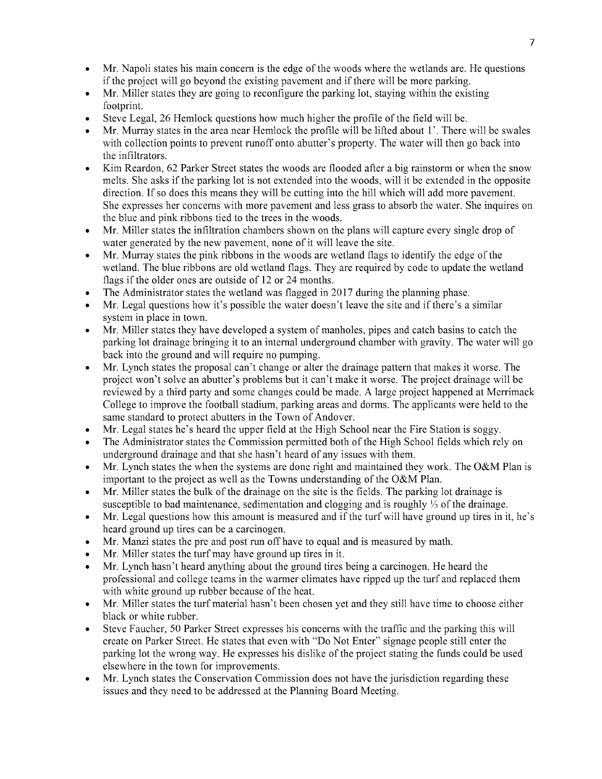- Mr. Napoli states his main concern is the edge of the woods where the wetlands are. He questions  $\bullet$ if the project will go beyond the existing pavement and if there will be more parking.
- Mr. Miller states they are going to reconfigure the parking lot, staying within the existing footprint.
- Steve Legal, 26 Hemlock questions how much higher the profile of the field will be.
- Mr. Murray states in the area near Hemlock the profile will be lifted about 1'. There will be swales with collection points to prevent runoff onto abutter's property. The water will then go back into the infiltrators.
- Kim Reardon, 62 Parker Street states the woods are flooded after a big rainstorm or when the snow melts. She asks if the parking lot is not extended into the woods, will it be extended in the opposite direction. If so does this means they will be cutting into the hill which will add more pavement. She expresses her concerns with more pavement and less grass to absorb the water. She inquires on the blue and pink ribbons tied to the trees in the woods.
- Mr. Miller states the infiltration chambers shown on the plans will capture every single drop of  $\bullet$ water generated by the new pavement, none of it will leave the site.
- Mr. Murray states the pink ribbons in the woods are wetland flags to identify the edge of the wetland. The blue ribbons are old wetland flags. They are required by code to update the wetland flags if the older ones are outside of 12 or 24 months.
- The Administrator states the wetland was flagged in 2017 during the planning phase.
- Mr. Legal questions how it's possible the water doesn't leave the site and if there's a similar system in place in town.
- Mr. Miller states they have developed a system of manholes, pipes and catch basins to catch the parking lot drainage bringing it to an internal underground chamber with gravity. The water will go back into the ground and will require no pumping.
- Mr. Lynch states the proposal can't change or alter the drainage pattern that makes it worse. The project won't solve an abutter's problems but it can't make it worse. The project drainage will be reviewed by a third party and some changes could be made. A large project happened at Merrimack College to improve the football stadium, parking areas and dorms. The applicants were held to the same standard to protect abutters in the Town of Andover.
- Mr. Legal states he's heard the upper field at the High School near the Fire Station is soggy.
- The Administrator states the Commission permitted both of the High School fields which rely on underground drainage and that she hasn't heard of any issues with them.
- Mr. Lynch states the when the systems are done right and maintained they work. The O&M Plan is  $\bullet$ important to the project as well as the Towns understanding of the O&M Plan.
- Mr. Miller states the bulk of the drainage on the site is the fields. The parking lot drainage is susceptible to bad maintenance, sedimentation and clogging and is roughly  $\frac{1}{3}$  of the drainage.
- Mr. Legal questions how this amount is measured and if the turf will have ground up tires in it, he's heard ground up tires can be a carcinogen.
- Mr. Manzi states the pre and post run off have to equal and is measured by math.
- Mr. Miller states the turf may have ground up tires in it.
- Mr. Lynch hasn't heard anything about the ground tires being a carcinogen. He heard the professional and college teams in the warmer climates have ripped up the turf and replaced them with white ground up rubber because of the heat.
- Mr. Miller states the turf material hasn't been chosen yet and they still have time to choose either black or white rubber.
- Steve Faucher, 50 Parker Street expresses his concerns with the traffic and the parking this will create on Parker Street. He states that even with "Do Not Enter" signage people still enter the parking lot the wrong way. He expresses his dislike of the project stating the funds could be used elsewhere in the town for improvements.
- Mr. Lynch states the Conservation Commission does not have the jurisdiction regarding these  $\bullet$ issues and they need to be addressed at the Planning Board Meeting.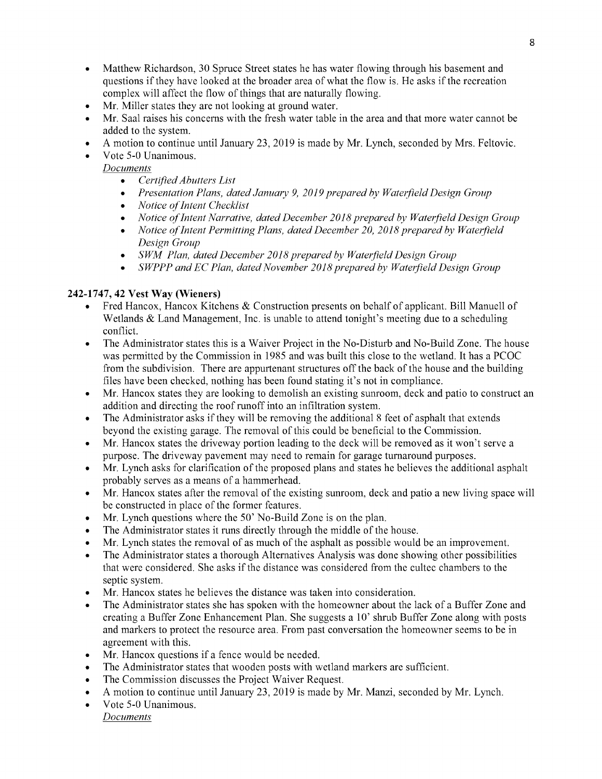- Matthew Richardson, 30 Spruce Street states he has water flowing through his basement and  $\bullet$ questions if they have looked at the broader area of what the flow is. He asks if the recreation complex will affect the flow of things that are naturally flowing.
- Mr. Miller states they are not looking at ground water.
- Mr. Saal raises his concerns with the fresh water table in the area and that more water cannot be added to the system.
- A motion to continue until January 23, 2019 is made by Mr. Lynch, seconded by Mrs. Feltovic.
- Vote 5-0 Unanimous.

**Documents** 

- Certified Abutters List
- Presentation Plans, dated January 9, 2019 prepared by Waterfield Design Group
- Notice of Intent Checklist
- Notice of Intent Narrative, dated December 2018 prepared by Waterfield Design Group
- $\bullet$ Notice of Intent Permitting Plans, dated December 20, 2018 prepared by Waterfield Design Group
- SWM Plan, dated December 2018 prepared by Waterfield Design Group
- SWPPP and EC Plan, dated November 2018 prepared by Waterfield Design Group

#### 242-1747, 42 Vest Way (Wieners)

- Fred Hancox, Hancox Kitchens & Construction presents on behalf of applicant. Bill Manuell of  $\bullet$ Wetlands  $&$  Land Management, Inc. is unable to attend tonight's meeting due to a scheduling conflict.
- The Administrator states this is a Waiver Project in the No-Disturb and No-Build Zone. The house was permitted by the Commission in 1985 and was built this close to the wetland. It has a PCOC from the subdivision. There are appurtenant structures off the back of the house and the building files have been checked, nothing has been found stating it's not in compliance.
- Mr. Hancox states they are looking to demolish an existing sunroom, deck and patio to construct an  $\bullet$ addition and directing the roof runoff into an infiltration system.
- The Administrator asks if they will be removing the additional 8 feet of asphalt that extends beyond the existing garage. The removal of this could be beneficial to the Commission.
- Mr. Hancox states the driveway portion leading to the deck will be removed as it won't serve a purpose. The driveway pavement may need to remain for garage turnaround purposes.
- Mr. Lynch asks for clarification of the proposed plans and states he believes the additional asphalt probably serves as a means of a hammerhead.
- Mr. Hancox states after the removal of the existing sunroom, deck and patio a new living space will be constructed in place of the former features.
- Mr. Lynch questions where the 50' No-Build Zone is on the plan.
- The Administrator states it runs directly through the middle of the house.
- Mr. Lynch states the removal of as much of the asphalt as possible would be an improvement.
- The Administrator states a thorough Alternatives Analysis was done showing other possibilities that were considered. She asks if the distance was considered from the cultec chambers to the septic system.
- Mr. Hancox states he believes the distance was taken into consideration.
- The Administrator states she has spoken with the homeowner about the lack of a Buffer Zone and creating a Buffer Zone Enhancement Plan. She suggests a 10' shrub Buffer Zone along with posts and markers to protect the resource area. From past conversation the homeowner seems to be in agreement with this.
- Mr. Hancox questions if a fence would be needed.
- The Administrator states that wooden posts with wetland markers are sufficient.
- The Commission discusses the Project Waiver Request.
- A motion to continue until January 23, 2019 is made by Mr. Manzi, seconded by Mr. Lynch.
- Vote 5-0 Unanimous. **Documents**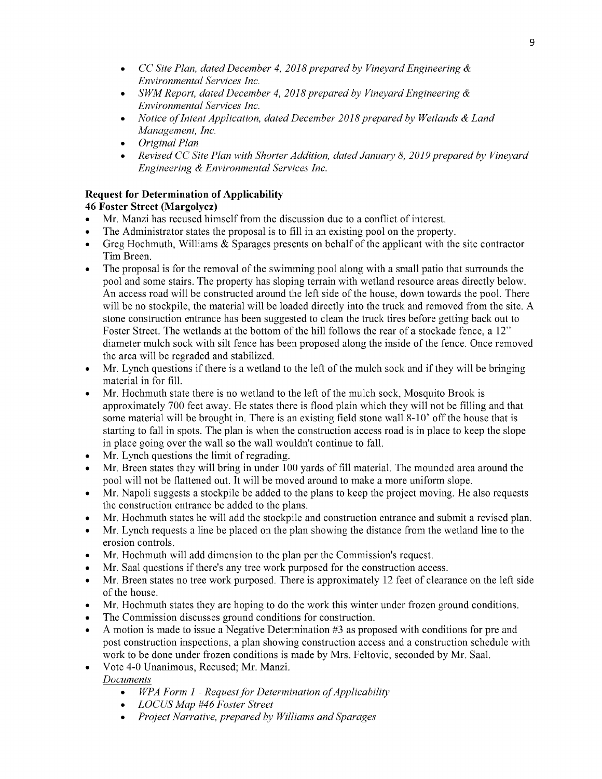- CC Site Plan, dated December 4, 2018 prepared by Vineyard Engineering  $\&$ Environmental Services Inc.
- SWM Report, dated December 4, 2018 prepared by Vineyard Engineering  $\&$ Environmental Services Inc.
- Notice of Intent Application, dated December 2018 prepared by Wetlands  $\&$  Land Management, Inc.
- Original Plan  $\bullet$
- Revised CC Site Plan with Shorter Addition, dated January 8, 2019 prepared by Vineyard Engineering & Environmental Services Inc.

## Request for Determination of Applicability

# 46Foster Street (Margolycz)

- Mr. Manzi has recused himself from the discussion due to a conflict of interest.
- The Administrator states the proposal is to fill in an existing pool on the property.
- Greg Hochmuth, Williams  $\&$  Sparages presents on behalf of the applicant with the site contractor Tim Breen.
- The proposal is for the removal of the swimming pool along with a small patio that surrounds the  $\bullet$ pool and some stairs. The property has sloping terrain with wetland resource areas directly below. An access road will be constructed around the left side of the house, down towards the pool. There will be no stockpile, the material will be loaded directly into the truck and removed from the site. A stone construction entrance has been suggested to clean the truck tires before getting back out to Foster Street. The wetlands at the bottom of the hill follows the rear of a stockade fence, a 12" diameter mulch sock with silt fence has been proposed along the inside of the fence. Once removed the area will be regraded and stabilized.
- Mr. Lynch questions if there is a wetland to the left of the mulch sock and if they will be bringing  $\bullet$ material in for fill.
- Mr. Hochmuth state there is no wetland to the left of the mulch sock, Mosquito Brook is approximately 700 feet away. He states there is flood plain which they will not be filling and that some material will be brought in. There is an existing field stone wall 8-10' off the house that is starting to fall in spots. The plan is when the construction access road is in place to keep the slope in place going over the wall so the wall wouldn't continue to fall.
- Mr. Lynch questions the limit of regrading.
- Mr. Breen states they will bring in under 100 yards of fill material. The mounded area around the pool will not be flattened out. It will be moved around to make a more uniform slope.
- Mr. Napoli suggests a stockpile be added to the plans to keep the project moving. He also requests the construction entrance be added to the plans.
- Mr. Hochmuth states he will add the stockpile and construction entrance and submit a revised plan.
- Mr. Lynch requests a line be placed on the plan showing the distance from the wetland line to the erosion controls.
- Mr. Hochmuth will add dimension to the plan per the Commission's request.
- Mr. Saal questions if there's any tree work purposed for the construction access.
- Mr. Breen states no tree work purposed. There is approximately 12 feet of clearance on the left side of the house.
- Mr. Hochmuth states they are hoping to do the work this winter under frozen ground conditions.
- The Commission discusses ground conditions for construction.
- A motion is made to issue a Negative Determination  $#3$  as proposed with conditions for pre and post construction inspections, a plan showing construction access and a construction schedule with work to be done under frozen conditions is made by Mrs. Feltovic, seconded by Mr. Saal.
- Vote 4-0 Unanimous, Recused; Mr. Manzi.

**Documents** 

- $\bullet$  $WPA$  Form  $1$  - Request for Determination of Applicability
- LOCUS Map #46 Foster Street  $\bullet$
- Project Narrative, prepared by Williams and Sparages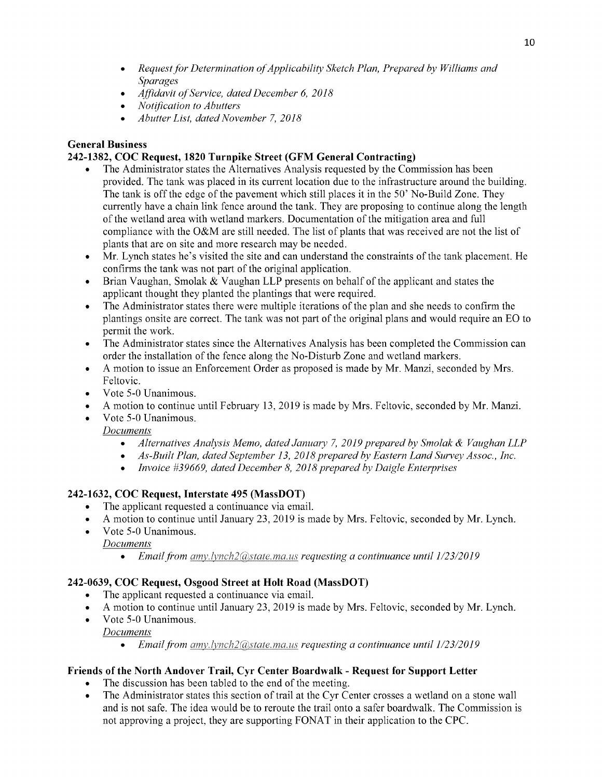- Request for Determination of Applicability Sketch Plan, Prepared by Williams and  $\bullet$ Sparages
- Affidavit of Service, dated December 6, 2018  $\bullet$
- Notification to Abutters
- Abutter List, dated November 7, 2018  $\bullet$

# General Business

## 242-1382, COC Request, 1820 Turnpike Street (GFM General Contracting)

- The Administrator states the Alternatives Analysis requested by the Commission has been provided. The tank was placed in its current location due to the infrastructure around the building. The tank is off the edge of the pavement which still places it in the 50' No-Build Zone. They currently have a chain link fence around the tank. They are proposing to continue along the length of the wetland area with wetland markers. Documentation of the mitigation area and full compliance with the O&M are still needed. The list of plants that was received are not the list of plants that are on site and more research may be needed.
- Mr. Lynch states he's visited the site and can understand the constraints of the tank placement. He  $\bullet$ confirms the tank was not part of the original application.
- Brian Vaughan, Smolak  $&$  Vaughan LLP presents on behalf of the applicant and states the applicant thought they planted the plantings that were required.
- The Administrator states there were multiple iterations of the plan and she needs to confirm the plantings onsite are correct. The tank was not part of the original plans and would require an EO to permit the work.
- The Administrator states since the Alternatives Analysis has been completed the Commission can order the installation of the fence along the No-Disturb Zone and wetland markers.
- A motion to issue an Enforcement Order as proposed is made by Mr. Manzi, seconded by Mrs. Feltovic.
- Vote 5-0 Unanimous.
- Amotion tocontinue untilFebruary 13, 2019ismade byMrs. Feltovic, seconded byMr. Manzi.
- Vote 5-0 Unanimous.

**Documents** 

- Alternatives Analysis Memo, dated January 7, 2019 prepared by Smolak & Vaughan LLP
- As-Built Plan, dated September 13, 2018 prepared by Eastern Land Survey Assoc., Inc.  $\bullet$
- Invoice  $#39669$ , dated December 8, 2018 prepared by Daigle Enterprises

# 242-1632, COC Request, Interstate 495 (MassDOT)

- The applicant requested a continuance via email.
- A motion to continue until January 23, 2019 is made by Mrs. Feltovic, seconded by Mr. Lynch.
- Vote 5-0 Unanimous. **Documents** 
	- Email from amy.lynch2@state.ma.us requesting a continuance until  $1/23/2019$

# 242-0639, COC Request, Osgood Street at Holt Road (MassDOT)

- The applicant requested a continuance via email.
- A motion to continue until January 23, 2019 is made by Mrs. Feltovic, seconded by Mr. Lynch.
- $\bullet$ Vote 5-0 Unanimous.

**Documents** 

Email from amy.lynch2@state.ma.us requesting a continuance until  $1/23/2019$ 

## Friends of the North Andover Trail, Cyr Center Boardwalk - Request for Support Letter

- The discussion has been tabled to the end of the meeting.
- The Administrator states this section of trail at the Cyr Center crosses a wetland on a stone wall and is not safe. The idea would be to reroute the trail onto a safer boardwalk. The Commission is not approving a project, they are supporting FONAT in their application to the CPC.